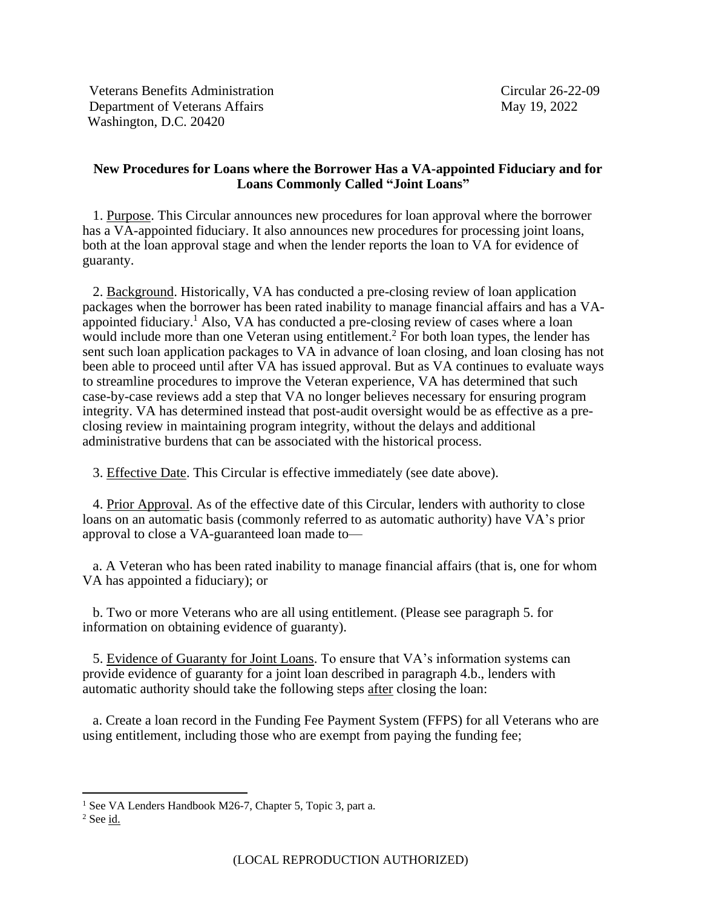Veterans Benefits Administration Circular 26-22-09 Department of Veterans Affairs May 19, 2022 Washington, D.C. 20420

## **New Procedures for Loans where the Borrower Has a VA-appointed Fiduciary and for Loans Commonly Called "Joint Loans"**

 1. Purpose. This Circular announces new procedures for loan approval where the borrower has a VA-appointed fiduciary. It also announces new procedures for processing joint loans, both at the loan approval stage and when the lender reports the loan to VA for evidence of guaranty.

 2. Background. Historically, VA has conducted a pre-closing review of loan application packages when the borrower has been rated inability to manage financial affairs and has a VAappointed fiduciary.<sup>1</sup> Also, VA has conducted a pre-closing review of cases where a loan would include more than one Veteran using entitlement.<sup>2</sup> For both loan types, the lender has sent such loan application packages to VA in advance of loan closing, and loan closing has not been able to proceed until after VA has issued approval. But as VA continues to evaluate ways to streamline procedures to improve the Veteran experience, VA has determined that such case-by-case reviews add a step that VA no longer believes necessary for ensuring program integrity. VA has determined instead that post-audit oversight would be as effective as a preclosing review in maintaining program integrity, without the delays and additional administrative burdens that can be associated with the historical process.

3. Effective Date. This Circular is effective immediately (see date above).

 4. Prior Approval. As of the effective date of this Circular, lenders with authority to close loans on an automatic basis (commonly referred to as automatic authority) have VA's prior approval to close a VA-guaranteed loan made to—

 a. A Veteran who has been rated inability to manage financial affairs (that is, one for whom VA has appointed a fiduciary); or

 b. Two or more Veterans who are all using entitlement. (Please see paragraph 5. for information on obtaining evidence of guaranty).

 5. Evidence of Guaranty for Joint Loans. To ensure that VA's information systems can provide evidence of guaranty for a joint loan described in paragraph 4.b., lenders with automatic authority should take the following steps after closing the loan:

 a. Create a loan record in the Funding Fee Payment System (FFPS) for all Veterans who are using entitlement, including those who are exempt from paying the funding fee;

<sup>&</sup>lt;sup>1</sup> See VA Lenders Handbook M26-7, Chapter 5, Topic 3, part a.

 $2$  See  $\underline{\text{id.}}$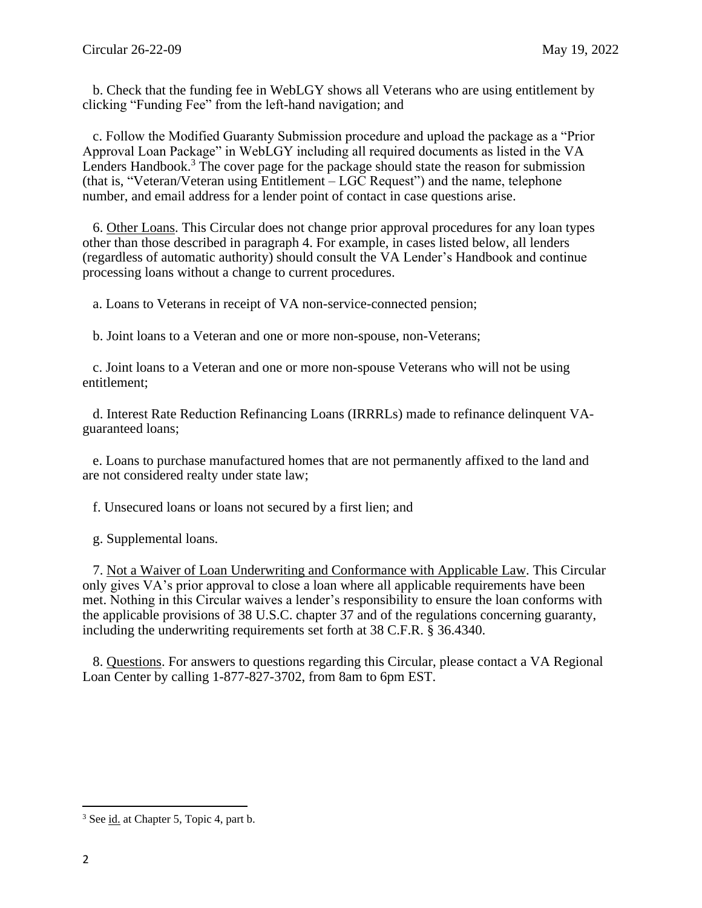b. Check that the funding fee in WebLGY shows all Veterans who are using entitlement by clicking "Funding Fee" from the left-hand navigation; and

 c. Follow the Modified Guaranty Submission procedure and upload the package as a "Prior Approval Loan Package" in WebLGY including all required documents as listed in the VA Lenders Handbook.<sup>3</sup> The cover page for the package should state the reason for submission (that is, "Veteran/Veteran using Entitlement – LGC Request") and the name, telephone number, and email address for a lender point of contact in case questions arise.

 6. Other Loans. This Circular does not change prior approval procedures for any loan types other than those described in paragraph 4. For example, in cases listed below, all lenders (regardless of automatic authority) should consult the VA Lender's Handbook and continue processing loans without a change to current procedures.

a. Loans to Veterans in receipt of VA non-service-connected pension;

b. Joint loans to a Veteran and one or more non-spouse, non-Veterans;

 c. Joint loans to a Veteran and one or more non-spouse Veterans who will not be using entitlement;

 d. Interest Rate Reduction Refinancing Loans (IRRRLs) made to refinance delinquent VAguaranteed loans;

 e. Loans to purchase manufactured homes that are not permanently affixed to the land and are not considered realty under state law;

f. Unsecured loans or loans not secured by a first lien; and

g. Supplemental loans.

 7. Not a Waiver of Loan Underwriting and Conformance with Applicable Law. This Circular only gives VA's prior approval to close a loan where all applicable requirements have been met. Nothing in this Circular waives a lender's responsibility to ensure the loan conforms with the applicable provisions of 38 U.S.C. chapter 37 and of the regulations concerning guaranty, including the underwriting requirements set forth at 38 C.F.R. § 36.4340.

 8. Questions. For answers to questions regarding this Circular, please contact a VA Regional Loan Center by calling 1-877-827-3702, from 8am to 6pm EST.

<sup>&</sup>lt;sup>3</sup> See id. at Chapter 5, Topic 4, part b.